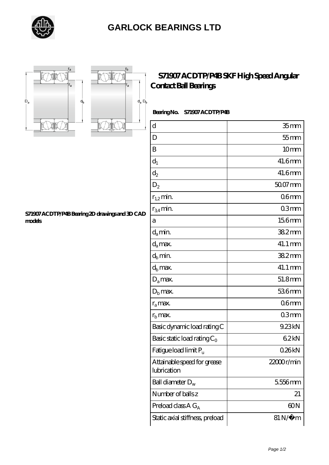





## **[S71907 ACDTP/P4B SKF High Speed Angular](https://letterstopriests.com/skf-bearing/s71907-acdtp-p4b.html) [Contact Ball Bearings](https://letterstopriests.com/skf-bearing/s71907-acdtp-p4b.html)**

## **Bearing No. S71907 ACDTP/P4B**

| $\mathbf d$                                | 35 <sub>mm</sub>      |
|--------------------------------------------|-----------------------|
| D                                          | $55$ mm               |
| B                                          | 10 <sub>mm</sub>      |
| $d_1$                                      | 41.6mm                |
| $\mathrm{d}_2$                             | 41.6mm                |
| $D_2$                                      | $5007$ mm             |
| $r_{1,2}$ min.                             | 06 <sub>mm</sub>      |
| $r_{34}$ min.                              | 03mm                  |
| а                                          | 156mm                 |
| $d_a$ min.                                 | 382mm                 |
| $d_a$ max.                                 | 41.1 mm               |
| $d_b$ min.                                 | 382mm                 |
| $d_h$ max.                                 | 41.1 mm               |
| $D_a$ max.                                 | 51.8mm                |
| $D_{b}$ max.                               | 536mm                 |
| $r_a$ max.                                 | 06 <sub>mm</sub>      |
| $r_{\rm b}$ max.                           | 03mm                  |
| Basic dynamic load rating C                | 9.23kN                |
| Basic static load rating $C_0$             | 62kN                  |
| Fatigue load limit Pu                      | 026kN                 |
| Attainable speed for grease<br>lubrication | 22000r/min            |
| Ball diameter $D_w$                        | 5556mm                |
| Number of balls z                          | 21                    |
| Preload class $AG_A$                       | 60N                   |
| Static axial stiffness, preload            | $81\,\mathrm{N}\mu$ m |

## **[S71907 ACDTP/P4B Bearing 2D drawings and 3D CAD](https://letterstopriests.com/pic-935099.html) [models](https://letterstopriests.com/pic-935099.html)**